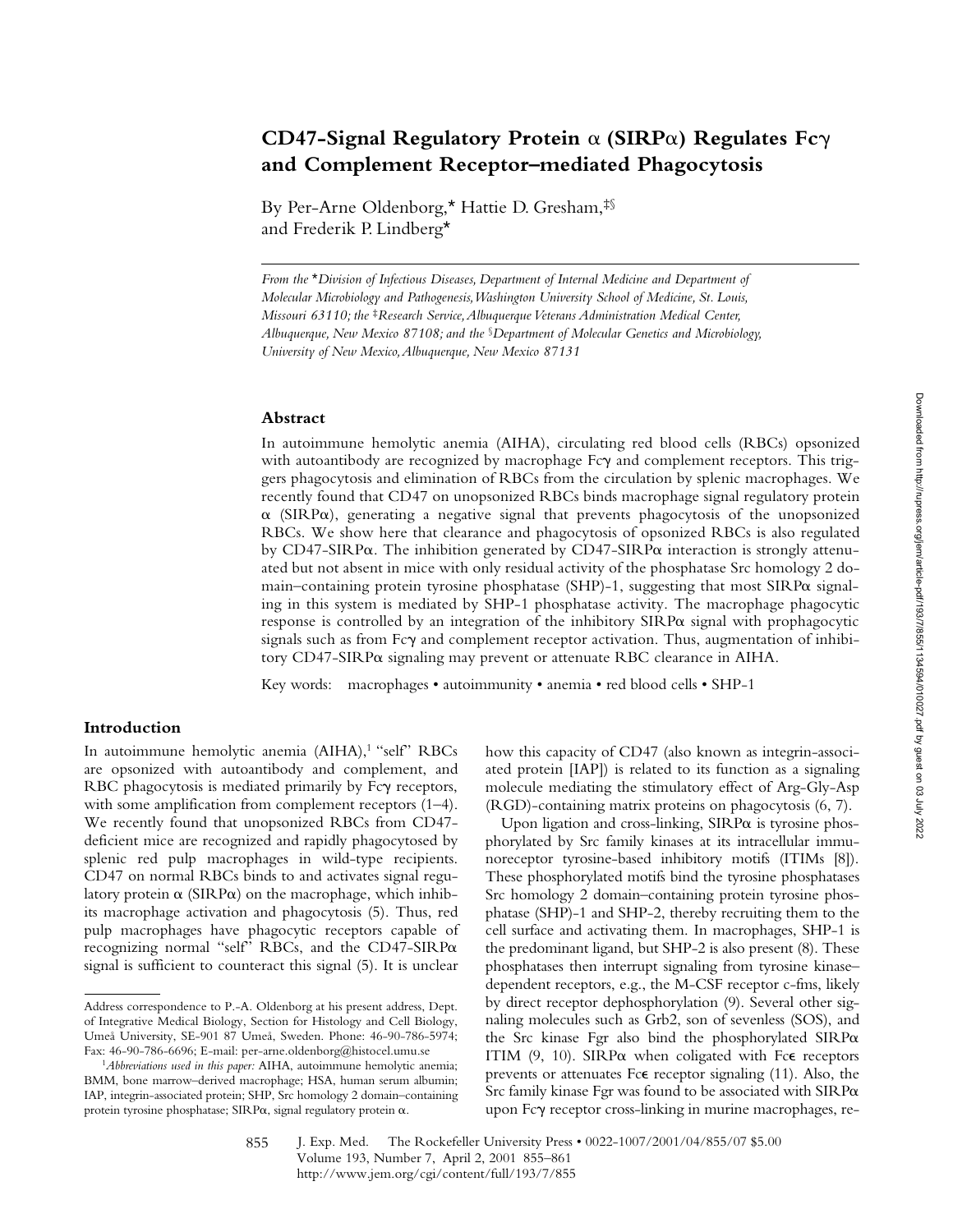# **CD47-Signal Regulatory Protein** a **(SIRP**a**) Regulates Fc**g **and Complement Receptor–mediated Phagocytosis**

By Per-Arne Oldenborg,\* Hattie D. Gresham,‡§ and Frederik P. Lindberg\*

*From the* \**Division of Infectious Diseases, Department of Internal Medicine and Department of Molecular Microbiology and Pathogenesis, Washington University School of Medicine, St. Louis, Missouri 63110; the* ‡*Research Service, Albuquerque Veterans Administration Medical Center, Albuquerque, New Mexico 87108; and the* §*Department of Molecular Genetics and Microbiology, University of New Mexico, Albuquerque, New Mexico 87131*

#### **Abstract**

In autoimmune hemolytic anemia (AIHA), circulating red blood cells (RBCs) opsonized with autoantibody are recognized by macrophage Fcy and complement receptors. This triggers phagocytosis and elimination of RBCs from the circulation by splenic macrophages. We recently found that CD47 on unopsonized RBCs binds macrophage signal regulatory protein  $\alpha$  (SIRP $\alpha$ ), generating a negative signal that prevents phagocytosis of the unopsonized RBCs. We show here that clearance and phagocytosis of opsonized RBCs is also regulated by CD47-SIRP $\alpha$ . The inhibition generated by CD47-SIRP $\alpha$  interaction is strongly attenuated but not absent in mice with only residual activity of the phosphatase Src homology 2 domain–containing protein tyrosine phosphatase (SHP)-1, suggesting that most  $SIRP\alpha$  signaling in this system is mediated by SHP-1 phosphatase activity. The macrophage phagocytic response is controlled by an integration of the inhibitory  $SIRP\alpha$  signal with prophagocytic signals such as from  $Fc\gamma$  and complement receptor activation. Thus, augmentation of inhibitory  $CD47-SIRP\alpha$  signaling may prevent or attenuate RBC clearance in AIHA.

Key words: macrophages • autoimmunity • anemia • red blood cells • SHP-1

## **Introduction**

In autoimmune hemolytic anemia (AIHA),<sup>1</sup> "self" RBCs are opsonized with autoantibody and complement, and RBC phagocytosis is mediated primarily by Fcy receptors, with some amplification from complement receptors (1–4). We recently found that unopsonized RBCs from CD47 deficient mice are recognized and rapidly phagocytosed by splenic red pulp macrophages in wild-type recipients. CD47 on normal RBCs binds to and activates signal regulatory protein  $\alpha$  (SIRP $\alpha$ ) on the macrophage, which inhibits macrophage activation and phagocytosis (5). Thus, red pulp macrophages have phagocytic receptors capable of recognizing normal "self" RBCs, and the CD47-SIRPa signal is sufficient to counteract this signal (5). It is unclear

how this capacity of CD47 (also known as integrin-associated protein [IAP]) is related to its function as a signaling molecule mediating the stimulatory effect of Arg-Gly-Asp (RGD)-containing matrix proteins on phagocytosis (6, 7).

Upon ligation and cross-linking,  $SIRP\alpha$  is tyrosine phosphorylated by Src family kinases at its intracellular immunoreceptor tyrosine-based inhibitory motifs (ITIMs [8]). These phosphorylated motifs bind the tyrosine phosphatases Src homology 2 domain–containing protein tyrosine phosphatase (SHP)-1 and SHP-2, thereby recruiting them to the cell surface and activating them. In macrophages, SHP-1 is the predominant ligand, but SHP-2 is also present (8). These phosphatases then interrupt signaling from tyrosine kinase– dependent receptors, e.g., the M-CSF receptor c-fms, likely by direct receptor dephosphorylation (9). Several other signaling molecules such as Grb2, son of sevenless (SOS), and the Src kinase Fgr also bind the phosphorylated  $SIRP\alpha$ ITIM  $(9, 10)$ . SIRP $\alpha$  when coligated with Fc $\epsilon$  receptors prevents or attenuates Fce receptor signaling (11). Also, the Src family kinase Fgr was found to be associated with  $SIRP\alpha$ upon Fcg receptor cross-linking in murine macrophages, re-

Address correspondence to P.-A. Oldenborg at his present address, Dept. of Integrative Medical Biology, Section for Histology and Cell Biology, Umeå University, SE-901 87 Umeå, Sweden. Phone: 46-90-786-5974; Fax: 46-90-786-6696; E-mail: per-arne.oldenborg@histocel.umu.se

<sup>1</sup>*Abbreviations used in this paper:* AIHA, autoimmune hemolytic anemia; BMM, bone marrow–derived macrophage; HSA, human serum albumin; IAP, integrin-associated protein; SHP, Src homology 2 domain–containing protein tyrosine phosphatase; SIRP $\alpha$ , signal regulatory protein  $\alpha$ .

J. Exp. Med. © The Rockefeller University Press • 0022-1007/2001/04/855/07 \$5.00 Volume 193, Number 7, April 2, 2001 855–861 http://www.jem.org/cgi/content/full/193/7/855 855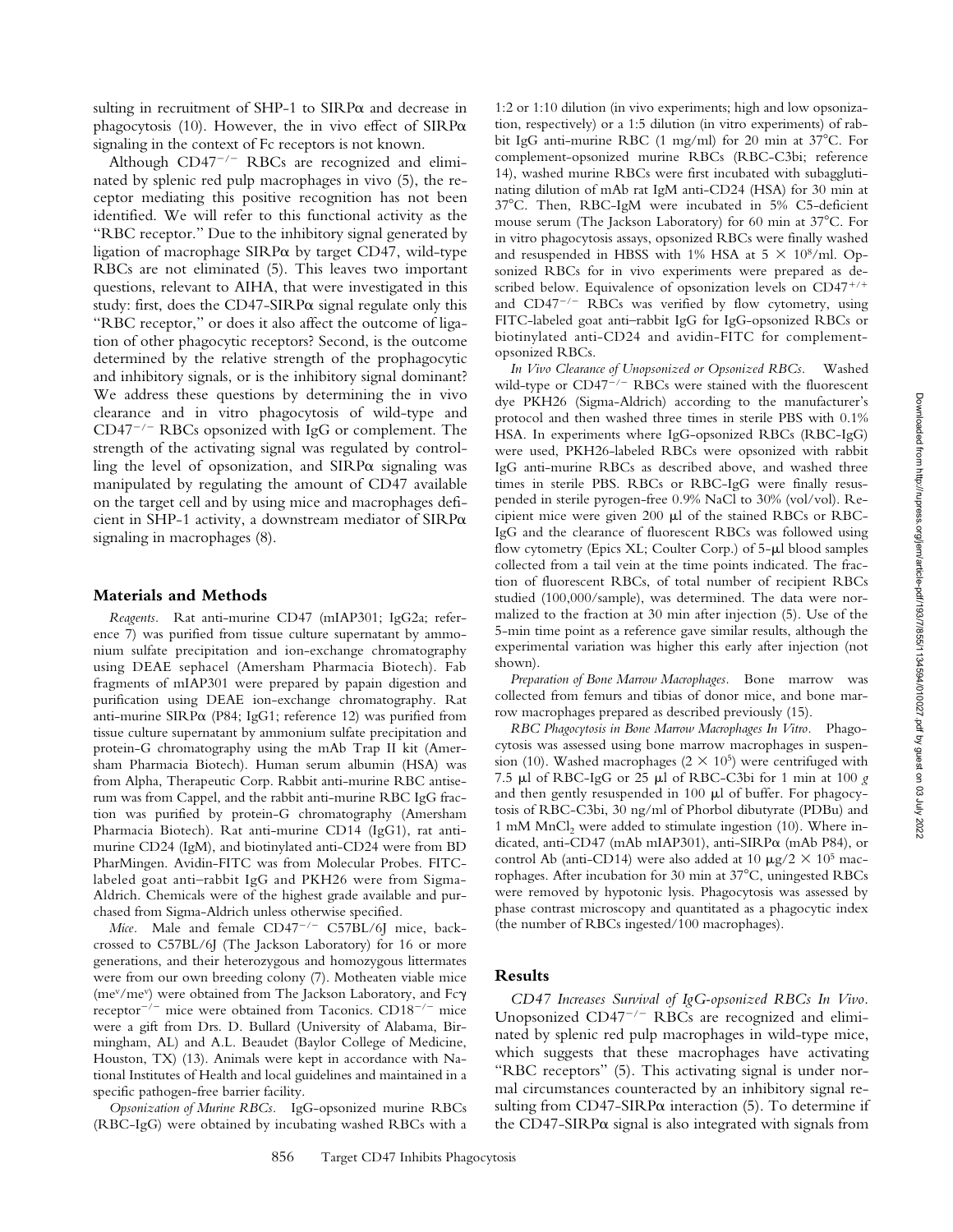Although  $CD47^{-/-}$  RBCs are recognized and eliminated by splenic red pulp macrophages in vivo (5), the receptor mediating this positive recognition has not been identified. We will refer to this functional activity as the "RBC receptor." Due to the inhibitory signal generated by ligation of macrophage  $SIRP\alpha$  by target CD47, wild-type RBCs are not eliminated (5). This leaves two important questions, relevant to AIHA, that were investigated in this study: first, does the CD47-SIRP $\alpha$  signal regulate only this "RBC receptor," or does it also affect the outcome of ligation of other phagocytic receptors? Second, is the outcome determined by the relative strength of the prophagocytic and inhibitory signals, or is the inhibitory signal dominant? We address these questions by determining the in vivo clearance and in vitro phagocytosis of wild-type and  $CD47^{-/-}$  RBCs opsonized with IgG or complement. The strength of the activating signal was regulated by controlling the level of opsonization, and  $SIRP\alpha$  signaling was manipulated by regulating the amount of CD47 available on the target cell and by using mice and macrophages deficient in SHP-1 activity, a downstream mediator of SIRPa signaling in macrophages (8).

## **Materials and Methods**

*Reagents.* Rat anti-murine CD47 (mIAP301; IgG2a; reference 7) was purified from tissue culture supernatant by ammonium sulfate precipitation and ion-exchange chromatography using DEAE sephacel (Amersham Pharmacia Biotech). Fab fragments of mIAP301 were prepared by papain digestion and purification using DEAE ion-exchange chromatography. Rat anti-murine SIRPa (P84; IgG1; reference 12) was purified from tissue culture supernatant by ammonium sulfate precipitation and protein-G chromatography using the mAb Trap II kit (Amersham Pharmacia Biotech). Human serum albumin (HSA) was from Alpha, Therapeutic Corp. Rabbit anti-murine RBC antiserum was from Cappel, and the rabbit anti-murine RBC IgG fraction was purified by protein-G chromatography (Amersham Pharmacia Biotech). Rat anti-murine CD14 (IgG1), rat antimurine CD24 (IgM), and biotinylated anti-CD24 were from BD PharMingen. Avidin-FITC was from Molecular Probes. FITClabeled goat anti–rabbit IgG and PKH26 were from Sigma-Aldrich. Chemicals were of the highest grade available and purchased from Sigma-Aldrich unless otherwise specified*.*

*Mice.* Male and female  $CD47^{-/-}$   $C57BL/6J$  mice, backcrossed to C57BL/6J (The Jackson Laboratory) for 16 or more generations, and their heterozygous and homozygous littermates were from our own breeding colony (7). Motheaten viable mice (me<sup>v</sup>/me<sup>v</sup>) were obtained from The Jackson Laboratory, and Fc $\gamma$ receptor<sup> $-/-$ </sup> mice were obtained from Taconics. CD18<sup> $-/-$ </sup> mice were a gift from Drs. D. Bullard (University of Alabama, Birmingham, AL) and A.L. Beaudet (Baylor College of Medicine, Houston, TX) (13). Animals were kept in accordance with National Institutes of Health and local guidelines and maintained in a specific pathogen-free barrier facility.

*Opsonization of Murine RBCs.* IgG-opsonized murine RBCs (RBC-IgG) were obtained by incubating washed RBCs with a

1:2 or 1:10 dilution (in vivo experiments; high and low opsonization, respectively) or a 1:5 dilution (in vitro experiments) of rabbit IgG anti-murine RBC (1 mg/ml) for 20 min at  $37^{\circ}$ C. For complement-opsonized murine RBCs (RBC-C3bi; reference 14), washed murine RBCs were first incubated with subagglutinating dilution of mAb rat IgM anti-CD24 (HSA) for 30 min at 378C. Then, RBC-IgM were incubated in 5% C5-deficient mouse serum (The Jackson Laboratory) for 60 min at  $37^{\circ}$ C. For in vitro phagocytosis assays, opsonized RBCs were finally washed and resuspended in HBSS with 1% HSA at  $5 \times 10^8/\text{ml}$ . Opsonized RBCs for in vivo experiments were prepared as described below. Equivalence of opsonization levels on  $CD47^{+/+}$ and  $CD47^{-/-}$  RBCs was verified by flow cytometry, using FITC-labeled goat anti–rabbit IgG for IgG-opsonized RBCs or biotinylated anti-CD24 and avidin-FITC for complementopsonized RBCs.

*In Vivo Clearance of Unopsonized or Opsonized RBCs.* Washed wild-type or  $CD47^{-/-}$  RBCs were stained with the fluorescent dye PKH26 (Sigma-Aldrich) according to the manufacturer's protocol and then washed three times in sterile PBS with 0.1% HSA. In experiments where IgG-opsonized RBCs (RBC-IgG) were used, PKH26-labeled RBCs were opsonized with rabbit IgG anti-murine RBCs as described above, and washed three times in sterile PBS. RBCs or RBC-IgG were finally resuspended in sterile pyrogen-free 0.9% NaCl to 30% (vol/vol). Recipient mice were given  $200 \mu l$  of the stained RBCs or RBC-IgG and the clearance of fluorescent RBCs was followed using flow cytometry (Epics XL; Coulter Corp.) of 5-µl blood samples collected from a tail vein at the time points indicated. The fraction of fluorescent RBCs, of total number of recipient RBCs studied (100,000/sample), was determined. The data were normalized to the fraction at 30 min after injection (5). Use of the 5-min time point as a reference gave similar results, although the experimental variation was higher this early after injection (not shown).

*Preparation of Bone Marrow Macrophages.* Bone marrow was collected from femurs and tibias of donor mice, and bone marrow macrophages prepared as described previously (15).

*RBC Phagocytosis in Bone Marrow Macrophages In Vitro.* Phagocytosis was assessed using bone marrow macrophages in suspension (10). Washed macrophages (2  $\times$  10<sup>5</sup>) were centrifuged with 7.5 ml of RBC-IgG or 25 ml of RBC-C3bi for 1 min at 100 *g* and then gently resuspended in 100  $\mu$ l of buffer. For phagocytosis of RBC-C3bi, 30 ng/ml of Phorbol dibutyrate (PDBu) and 1 mM MnCl<sub>2</sub> were added to stimulate ingestion (10). Where indicated, anti-CD47 (mAb mIAP301), anti-SIRPa (mAb P84), or control Ab (anti-CD14) were also added at 10  $\mu$ g/2  $\times$  10<sup>5</sup> macrophages. After incubation for 30 min at 37°C, uningested RBCs were removed by hypotonic lysis. Phagocytosis was assessed by phase contrast microscopy and quantitated as a phagocytic index (the number of RBCs ingested/100 macrophages).

## **Results**

*CD47 Increases Survival of IgG-opsonized RBCs In Vivo.* Unopsonized  $CD47^{-/-}$  RBCs are recognized and eliminated by splenic red pulp macrophages in wild-type mice, which suggests that these macrophages have activating "RBC receptors" (5). This activating signal is under normal circumstances counteracted by an inhibitory signal resulting from CD47-SIRP $\alpha$  interaction (5). To determine if the CD47-SIRP $\alpha$  signal is also integrated with signals from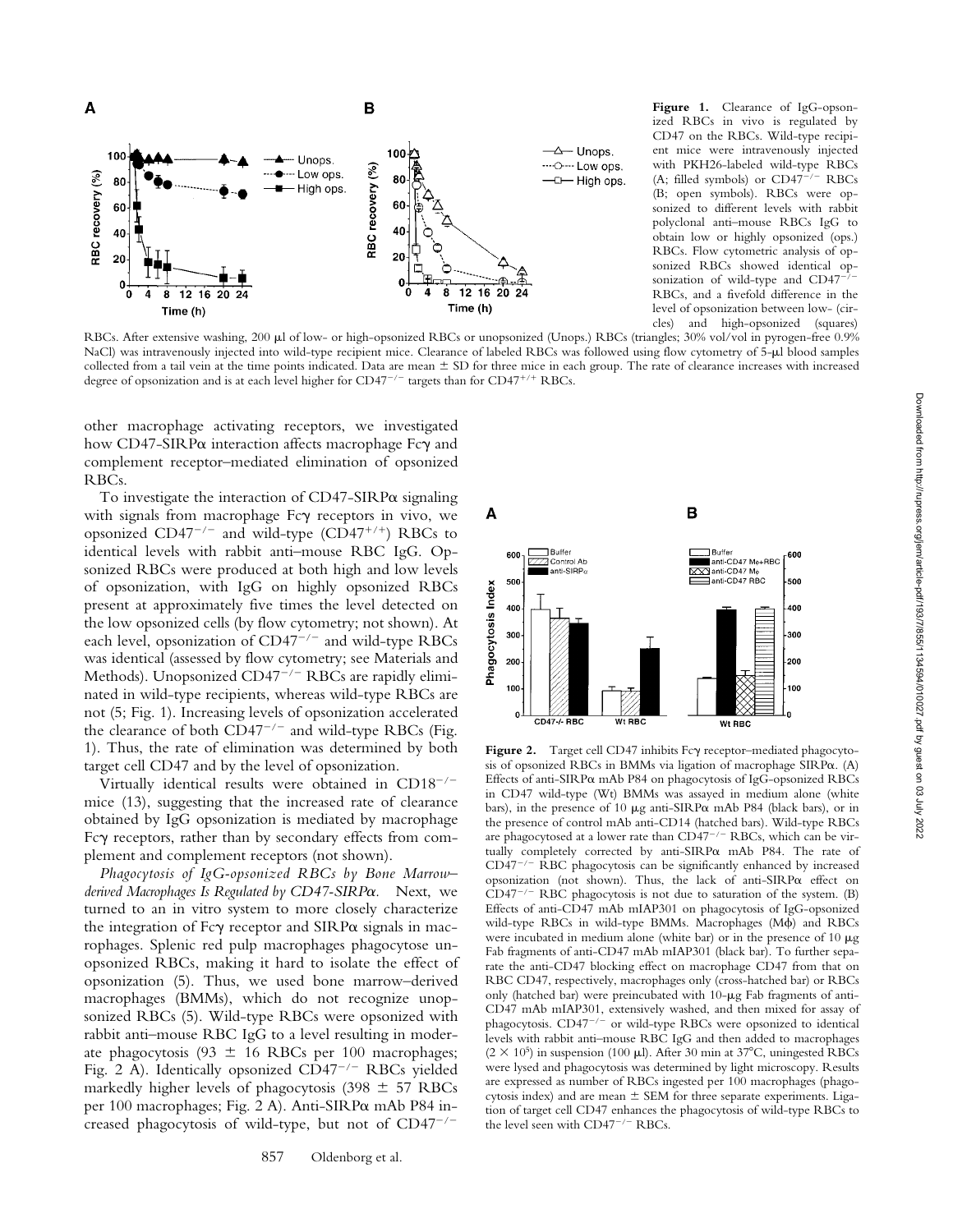

**Figure 1.** Clearance of IgG-opsonized RBCs in vivo is regulated by CD47 on the RBCs. Wild-type recipient mice were intravenously injected with PKH26-labeled wild-type RBCs (A; filled symbols) or  $CD47^{-/-}$  RBCs (B; open symbols). RBCs were opsonized to different levels with rabbit polyclonal anti–mouse RBCs IgG to obtain low or highly opsonized (ops.) RBCs. Flow cytometric analysis of opsonized RBCs showed identical opsonization of wild-type and CD47<sup>-</sup> RBCs, and a fivefold difference in the level of opsonization between low- (circles) and high-opsonized (squares)

RBCs. After extensive washing, 200 ul of low- or high-opsonized RBCs or unopsonized (Unops.) RBCs (triangles; 30% vol/vol in pyrogen-free 0.9% NaCl) was intravenously injected into wild-type recipient mice. Clearance of labeled RBCs was followed using flow cytometry of 5-µl blood samples collected from a tail vein at the time points indicated. Data are mean  $\pm$  SD for three mice in each group. The rate of clearance increases with increased degree of opsonization and is at each level higher for  $CD47^{-/-}$  targets than for  $CD47^{+/+}$  RBCs.

other macrophage activating receptors, we investigated how CD47-SIRPα interaction affects macrophage Fcγ and complement receptor–mediated elimination of opsonized RBCs.

To investigate the interaction of  $CD47-SIRP\alpha$  signaling with signals from macrophage Fc $\gamma$  receptors in vivo, we opsonized  $CD47^{-/-}$  and wild-type  $(D47^{+/+})$  RBCs to identical levels with rabbit anti–mouse RBC IgG. Opsonized RBCs were produced at both high and low levels of opsonization, with IgG on highly opsonized RBCs present at approximately five times the level detected on the low opsonized cells (by flow cytometry; not shown). At each level, opsonization of  $CD47^{-/-}$  and wild-type RBCs was identical (assessed by flow cytometry; see Materials and Methods). Unopsonized  $CD47^{-/-}$  RBCs are rapidly eliminated in wild-type recipients, whereas wild-type RBCs are not (5; Fig. 1). Increasing levels of opsonization accelerated the clearance of both  $CD47^{-/-}$  and wild-type RBCs (Fig. 1). Thus, the rate of elimination was determined by both target cell CD47 and by the level of opsonization.

Virtually identical results were obtained in  $CD18^{-/-}$ mice (13), suggesting that the increased rate of clearance obtained by IgG opsonization is mediated by macrophage Fc $\gamma$  receptors, rather than by secondary effects from complement and complement receptors (not shown).

*Phagocytosis of IgG-opsonized RBCs by Bone Marrow– derived Macrophages Is Regulated by CD47-SIRP*a*.* Next, we turned to an in vitro system to more closely characterize the integration of  $Fc\gamma$  receptor and  $SIRP\alpha$  signals in macrophages. Splenic red pulp macrophages phagocytose unopsonized RBCs, making it hard to isolate the effect of opsonization (5). Thus, we used bone marrow–derived macrophages (BMMs), which do not recognize unopsonized RBCs (5). Wild-type RBCs were opsonized with rabbit anti–mouse RBC IgG to a level resulting in moderate phagocytosis (93  $\pm$  16 RBCs per 100 macrophages; Fig. 2 A). Identically opsonized  $CD47^{-/-}$  RBCs yielded markedly higher levels of phagocytosis (398  $\pm$  57 RBCs per 100 macrophages; Fig. 2 A). Anti-SIRPa mAb P84 increased phagocytosis of wild-type, but not of  $CD47^{-/-}$ 



Figure 2. Target cell CD47 inhibits Fcy receptor-mediated phagocytosis of opsonized RBCs in BMMs via ligation of macrophage SIRPa. (A) Effects of anti-SIRPa mAb P84 on phagocytosis of IgG-opsonized RBCs in CD47 wild-type (Wt) BMMs was assayed in medium alone (white bars), in the presence of 10  $\mu$ g anti-SIRP $\alpha$  mAb P84 (black bars), or in the presence of control mAb anti-CD14 (hatched bars). Wild-type RBCs are phagocytosed at a lower rate than  $CD47^{-/-}$  RBCs, which can be virtually completely corrected by anti-SIRPa mAb P84. The rate of  $CD47^{-/-}$  RBC phagocytosis can be significantly enhanced by increased opsonization (not shown). Thus, the lack of anti-SIRPa effect on  $CD47^{-/-}$  RBC phagocytosis is not due to saturation of the system. (B) Effects of anti-CD47 mAb mIAP301 on phagocytosis of IgG-opsonized wild-type RBCs in wild-type BMMs. Macrophages (M $\phi$ ) and RBCs were incubated in medium alone (white bar) or in the presence of  $10 \mu g$ Fab fragments of anti-CD47 mAb mIAP301 (black bar). To further separate the anti-CD47 blocking effect on macrophage CD47 from that on RBC CD47, respectively, macrophages only (cross-hatched bar) or RBCs only (hatched bar) were preincubated with 10-µg Fab fragments of anti-CD47 mAb mIAP301, extensively washed, and then mixed for assay of phagocytosis.  $CD47^{-/-}$  or wild-type RBCs were opsonized to identical levels with rabbit anti–mouse RBC IgG and then added to macrophages (2  $\times$  10<sup>5</sup>) in suspension (100 µl). After 30 min at 37°C, uningested RBCs were lysed and phagocytosis was determined by light microscopy. Results are expressed as number of RBCs ingested per 100 macrophages (phagocytosis index) and are mean  $\pm$  SEM for three separate experiments. Ligation of target cell CD47 enhances the phagocytosis of wild-type RBCs to the level seen with  $CD47^{-/-}$  RBCs.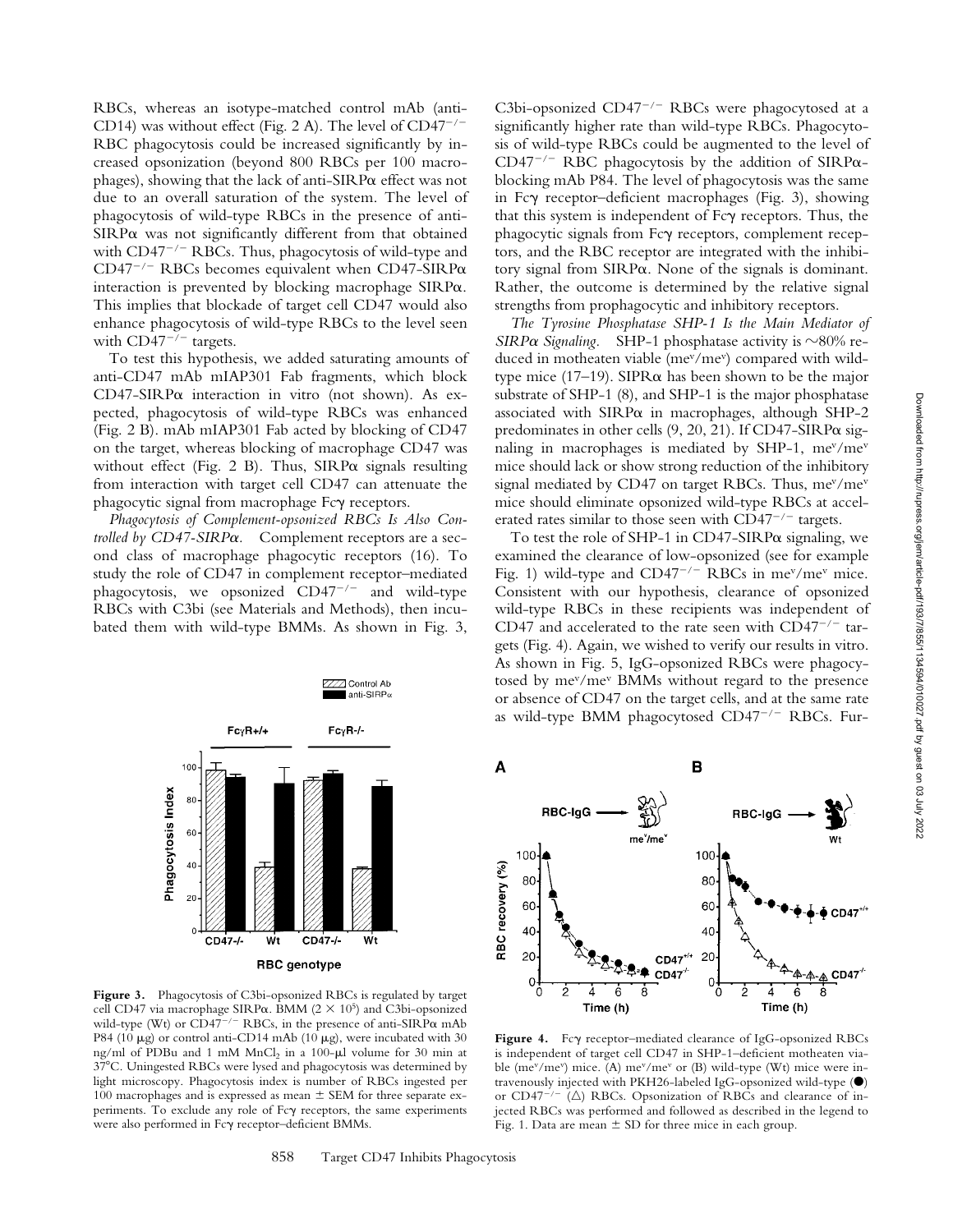RBCs, whereas an isotype-matched control mAb (anti-CD14) was without effect (Fig. 2 A). The level of  $CD47^{-/-}$ RBC phagocytosis could be increased significantly by increased opsonization (beyond 800 RBCs per 100 macrophages), showing that the lack of anti-SIRPa effect was not due to an overall saturation of the system. The level of phagocytosis of wild-type RBCs in the presence of anti-SIRP $\alpha$  was not significantly different from that obtained with  $CD47^{-/-}$  RBCs. Thus, phagocytosis of wild-type and CD47<sup>-/-</sup> RBCs becomes equivalent when CD47-SIRP $\alpha$ interaction is prevented by blocking macrophage SIRPa. This implies that blockade of target cell CD47 would also enhance phagocytosis of wild-type RBCs to the level seen with  $CD47^{-/-}$  targets.

To test this hypothesis, we added saturating amounts of anti-CD47 mAb mIAP301 Fab fragments, which block CD47-SIRP $\alpha$  interaction in vitro (not shown). As expected, phagocytosis of wild-type RBCs was enhanced (Fig. 2 B). mAb mIAP301 Fab acted by blocking of CD47 on the target, whereas blocking of macrophage CD47 was without effect (Fig. 2 B). Thus,  $SIRP\alpha$  signals resulting from interaction with target cell CD47 can attenuate the phagocytic signal from macrophage Fc $\gamma$  receptors.

*Phagocytosis of Complement-opsonized RBCs Is Also Controlled by CD47-SIRP*a*.* Complement receptors are a second class of macrophage phagocytic receptors (16). To study the role of CD47 in complement receptor–mediated phagocytosis, we opsonized  $CD47^{-/-}$  and wild-type RBCs with C3bi (see Materials and Methods), then incubated them with wild-type BMMs. As shown in Fig. 3,



**Figure 3.** Phagocytosis of C3bi-opsonized RBCs is regulated by target cell CD47 via macrophage SIRP $\alpha$ . BMM (2  $\times$  10<sup>5</sup>) and C3bi-opsonized wild-type (Wt) or CD47<sup>-/-</sup> RBCs, in the presence of anti-SIRP $\alpha$  mAb P84 (10  $\mu$ g) or control anti-CD14 mAb (10  $\mu$ g), were incubated with 30 ng/ml of PDBu and 1 mM MnCl<sub>2</sub> in a 100-ul volume for 30 min at 378C. Uningested RBCs were lysed and phagocytosis was determined by light microscopy. Phagocytosis index is number of RBCs ingested per 100 macrophages and is expressed as mean  $\pm$  SEM for three separate experiments. To exclude any role of Fc $\gamma$  receptors, the same experiments were also performed in Fcg receptor–deficient BMMs.

C3bi-opsonized CD47 $^{-/-}$  RBCs were phagocytosed at a significantly higher rate than wild-type RBCs. Phagocytosis of wild-type RBCs could be augmented to the level of CD47<sup>-/-</sup> RBC phagocytosis by the addition of SIRP $\alpha$ blocking mAb P84. The level of phagocytosis was the same in Fcg receptor–deficient macrophages (Fig. 3), showing that this system is independent of  $Fc\gamma$  receptors. Thus, the phagocytic signals from Fcg receptors, complement receptors, and the RBC receptor are integrated with the inhibitory signal from SIRPa. None of the signals is dominant. Rather, the outcome is determined by the relative signal strengths from prophagocytic and inhibitory receptors.

*The Tyrosine Phosphatase SHP-1 Is the Main Mediator of SIRPa Signaling.* SHP-1 phosphatase activity is  $\sim$ 80% reduced in motheaten viable (me<sup>v</sup>/me<sup>v</sup>) compared with wildtype mice (17–19). SIPR $\alpha$  has been shown to be the major substrate of SHP-1 (8), and SHP-1 is the major phosphatase associated with  $SIRP\alpha$  in macrophages, although  $SHP-2$ predominates in other cells  $(9, 20, 21)$ . If CD47-SIRP $\alpha$  signaling in macrophages is mediated by SHP-1, me<sup>v</sup>/me<sup>v</sup> mice should lack or show strong reduction of the inhibitory signal mediated by CD47 on target RBCs. Thus,  $me^{v}/me^{v}$ mice should eliminate opsonized wild-type RBCs at accelerated rates similar to those seen with  $CD47^{-/-}$  targets.

To test the role of SHP-1 in  $CD47-SIRP\alpha$  signaling, we examined the clearance of low-opsonized (see for example Fig. 1) wild-type and  $CD47^{-/-}$  RBCs in me<sup>v</sup>/me<sup>v</sup> mice. Consistent with our hypothesis, clearance of opsonized wild-type RBCs in these recipients was independent of CD47 and accelerated to the rate seen with  $CD47^{-/-}$  targets (Fig. 4). Again, we wished to verify our results in vitro. As shown in Fig. 5, IgG-opsonized RBCs were phagocytosed by mev/mev BMMs without regard to the presence or absence of CD47 on the target cells, and at the same rate as wild-type BMM phagocytosed  $CD47^{-/-}$  RBCs. Fur-



Figure 4. Fcy receptor–mediated clearance of IgG-opsonized RBCs is independent of target cell CD47 in SHP-1–deficient motheaten viable (me<sup>v</sup>/me<sup>v</sup>) mice. (A) me<sup>v</sup>/me<sup>v</sup> or (B) wild-type (Wt) mice were intravenously injected with PKH26-labeled IgG-opsonized wild-type  $(\bullet)$ or CD47<sup>-/-</sup> ( $\triangle$ ) RBCs. Opsonization of RBCs and clearance of injected RBCs was performed and followed as described in the legend to Fig. 1. Data are mean  $\pm$  SD for three mice in each group.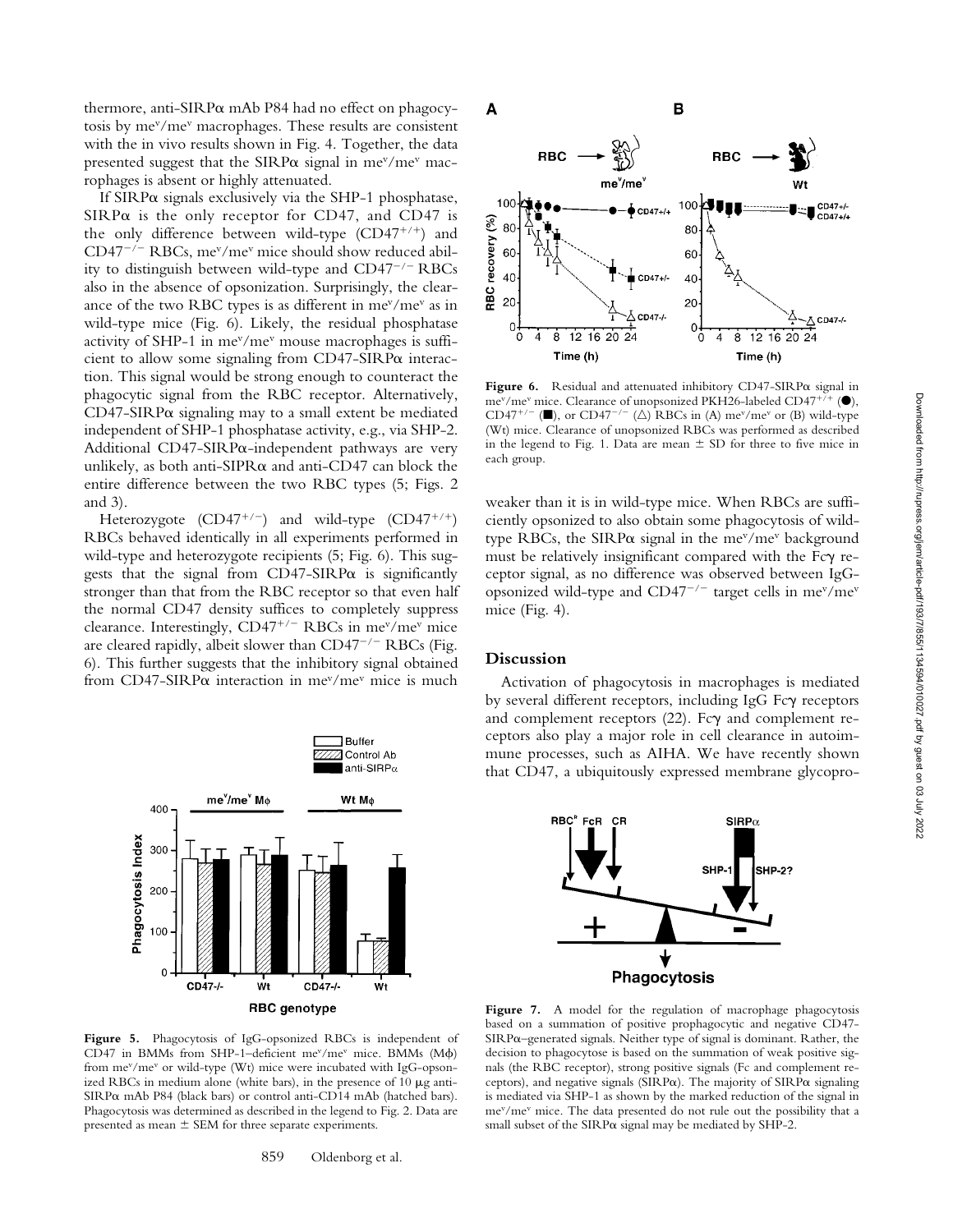thermore, anti-SIRPa mAb P84 had no effect on phagocytosis by mev/mev macrophages. These results are consistent with the in vivo results shown in Fig. 4. Together, the data presented suggest that the SIRP $\alpha$  signal in me<sup>v</sup>/me<sup>v</sup> macrophages is absent or highly attenuated.

If SIRPa signals exclusively via the SHP-1 phosphatase,  $SIRP\alpha$  is the only receptor for CD47, and CD47 is the only difference between wild-type  $(CD47^{+/+})$  and  $CD47^{-/-}$  RBCs, me<sup>v</sup>/me<sup>v</sup> mice should show reduced ability to distinguish between wild-type and  $CD47^{-/-}$  RBCs also in the absence of opsonization. Surprisingly, the clearance of the two RBC types is as different in mev/mev as in wild-type mice (Fig. 6). Likely, the residual phosphatase activity of SHP-1 in mev/mev mouse macrophages is sufficient to allow some signaling from CD47-SIRPa interaction. This signal would be strong enough to counteract the phagocytic signal from the RBC receptor. Alternatively,  $CD47-SIRP\alpha$  signaling may to a small extent be mediated independent of SHP-1 phosphatase activity, e.g., via SHP-2. Additional CD47-SIRPa-independent pathways are very unlikely, as both anti-SIPR $\alpha$  and anti-CD47 can block the entire difference between the two RBC types (5; Figs. 2 and 3).

Heterozygote  $(CD47^{+/})$  and wild-type  $(CD47^{+/})$ RBCs behaved identically in all experiments performed in wild-type and heterozygote recipients (5; Fig. 6). This suggests that the signal from  $CD47-SIRP\alpha$  is significantly stronger than that from the RBC receptor so that even half the normal CD47 density suffices to completely suppress clearance. Interestingly,  $CD47^{+/+}$  RBCs in me<sup>v</sup>/me<sup>v</sup> mice are cleared rapidly, albeit slower than  $CD47^{-/-}$  RBCs (Fig. 6). This further suggests that the inhibitory signal obtained from CD47-SIRP $\alpha$  interaction in me<sup>v</sup>/me<sup>v</sup> mice is much



**Figure 5.** Phagocytosis of IgG-opsonized RBCs is independent of CD47 in BMMs from SHP-1-deficient me<sup>v</sup>/me<sup>v</sup> mice. BMMs (M $\phi$ ) from me<sup>v</sup>/me<sup>v</sup> or wild-type (Wt) mice were incubated with IgG-opsonized RBCs in medium alone (white bars), in the presence of  $10 \mu g$  anti- $SIRP\alpha$  mAb P84 (black bars) or control anti-CD14 mAb (hatched bars). Phagocytosis was determined as described in the legend to Fig. 2. Data are presented as mean  $\pm$  SEM for three separate experiments.



**Figure 6.** Residual and attenuated inhibitory CD47-SIRP $\alpha$  signal in me<sup>v</sup>/me<sup>v</sup> mice. Clearance of unopsonized PKH26-labeled CD47<sup>+/+</sup> ( $\bullet$ ), CD47<sup>+/-</sup> ( $\blacksquare$ ), or CD47<sup>-/-</sup> ( $\triangle$ ) RBCs in (A) me<sup>v</sup>/me<sup>v</sup> or (B) wild-type (Wt) mice. Clearance of unopsonized RBCs was performed as described in the legend to Fig. 1. Data are mean  $\pm$  SD for three to five mice in each group.

weaker than it is in wild-type mice. When RBCs are sufficiently opsonized to also obtain some phagocytosis of wildtype RBCs, the SIRP $\alpha$  signal in the me<sup>v</sup>/me<sup>v</sup> background must be relatively insignificant compared with the Fc $\gamma$  receptor signal, as no difference was observed between IgGopsonized wild-type and CD47<sup>-/-</sup> target cells in me<sup>v</sup>/me<sup>v</sup> mice (Fig. 4).

### **Discussion**

Activation of phagocytosis in macrophages is mediated by several different receptors, including IgG Fcy receptors and complement receptors  $(22)$ . Fc $\gamma$  and complement receptors also play a major role in cell clearance in autoimmune processes, such as AIHA. We have recently shown that CD47, a ubiquitously expressed membrane glycopro-



Figure 7. A model for the regulation of macrophage phagocytosis based on a summation of positive prophagocytic and negative CD47- SIRPa–generated signals. Neither type of signal is dominant. Rather, the decision to phagocytose is based on the summation of weak positive signals (the RBC receptor), strong positive signals (Fc and complement receptors), and negative signals (SIRP $\alpha$ ). The majority of SIRP $\alpha$  signaling is mediated via SHP-1 as shown by the marked reduction of the signal in mev/mev mice. The data presented do not rule out the possibility that a small subset of the  $SIRP\alpha$  signal may be mediated by  $SHP-2$ .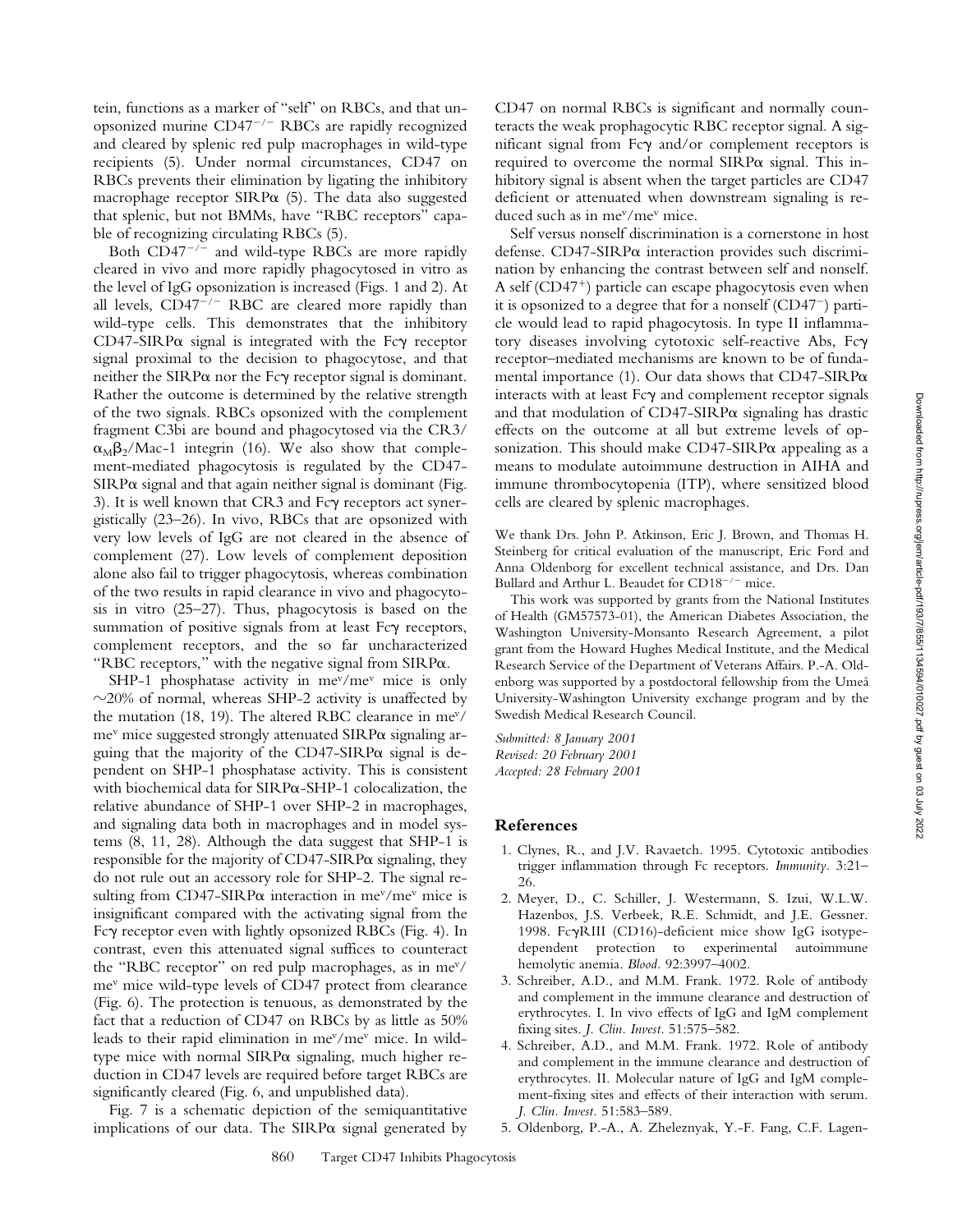tein, functions as a marker of "self" on RBCs, and that unopsonized murine  $CD47^{-/-}$  RBCs are rapidly recognized and cleared by splenic red pulp macrophages in wild-type recipients (5). Under normal circumstances, CD47 on RBCs prevents their elimination by ligating the inhibitory macrophage receptor  $SIRP\alpha$  (5). The data also suggested that splenic, but not BMMs, have "RBC receptors" capable of recognizing circulating RBCs (5).

Both  $CD47^{-/-}$  and wild-type RBCs are more rapidly cleared in vivo and more rapidly phagocytosed in vitro as the level of IgG opsonization is increased (Figs. 1 and 2). At all levels,  $CD47^{-/-}$  RBC are cleared more rapidly than wild-type cells. This demonstrates that the inhibitory  $CD47-SIRP\alpha$  signal is integrated with the Fc $\gamma$  receptor signal proximal to the decision to phagocytose, and that neither the SIRP $\alpha$  nor the Fc $\gamma$  receptor signal is dominant. Rather the outcome is determined by the relative strength of the two signals. RBCs opsonized with the complement fragment C3bi are bound and phagocytosed via the CR3/  $\alpha_M\beta_2/Mac-1$  integrin (16). We also show that complement-mediated phagocytosis is regulated by the CD47-  $SIRP\alpha$  signal and that again neither signal is dominant (Fig. 3). It is well known that CR3 and Fc $\gamma$  receptors act synergistically (23–26). In vivo, RBCs that are opsonized with very low levels of IgG are not cleared in the absence of complement (27). Low levels of complement deposition alone also fail to trigger phagocytosis, whereas combination of the two results in rapid clearance in vivo and phagocytosis in vitro (25–27). Thus, phagocytosis is based on the summation of positive signals from at least Fc $\gamma$  receptors, complement receptors, and the so far uncharacterized "RBC receptors," with the negative signal from SIRPa.

SHP-1 phosphatase activity in  $me^{v}/me^{v}$  mice is only  $\sim$ 20% of normal, whereas SHP-2 activity is unaffected by the mutation (18, 19). The altered RBC clearance in mev/  $me<sup>v</sup>$  mice suggested strongly attenuated SIRP $\alpha$  signaling arguing that the majority of the CD47-SIRPa signal is dependent on SHP-1 phosphatase activity. This is consistent with biochemical data for SIRPa-SHP-1 colocalization, the relative abundance of SHP-1 over SHP-2 in macrophages, and signaling data both in macrophages and in model systems (8, 11, 28). Although the data suggest that SHP-1 is responsible for the majority of  $CD47-SIRP\alpha$  signaling, they do not rule out an accessory role for SHP-2. The signal resulting from CD47-SIRP $\alpha$  interaction in me<sup>v</sup>/me<sup>v</sup> mice is insignificant compared with the activating signal from the Fcg receptor even with lightly opsonized RBCs (Fig. 4). In contrast, even this attenuated signal suffices to counteract the "RBC receptor" on red pulp macrophages, as in mev/ mev mice wild-type levels of CD47 protect from clearance (Fig. 6). The protection is tenuous, as demonstrated by the fact that a reduction of CD47 on RBCs by as little as 50% leads to their rapid elimination in mev/mev mice. In wildtype mice with normal SIRPa signaling, much higher reduction in CD47 levels are required before target RBCs are significantly cleared (Fig. 6, and unpublished data).

Fig. 7 is a schematic depiction of the semiquantitative implications of our data. The  $SIRP\alpha$  signal generated by

CD47 on normal RBCs is significant and normally counteracts the weak prophagocytic RBC receptor signal. A significant signal from  $Fc\gamma$  and/or complement receptors is required to overcome the normal  $SIRP\alpha$  signal. This inhibitory signal is absent when the target particles are CD47 deficient or attenuated when downstream signaling is reduced such as in mev/mev mice.

Self versus nonself discrimination is a cornerstone in host defense. CD47-SIRPa interaction provides such discrimination by enhancing the contrast between self and nonself. A self  $(CD47<sup>+</sup>)$  particle can escape phagocytosis even when it is opsonized to a degree that for a nonself  $(CD47^-)$  particle would lead to rapid phagocytosis. In type II inflammatory diseases involving cytotoxic self-reactive Abs, Fcg receptor–mediated mechanisms are known to be of fundamental importance (1). Our data shows that  $CD47-SIRP\alpha$ interacts with at least  $Fc\gamma$  and complement receptor signals and that modulation of  $CD47-SIRP\alpha$  signaling has drastic effects on the outcome at all but extreme levels of opsonization. This should make CD47-SIRPa appealing as a means to modulate autoimmune destruction in AIHA and immune thrombocytopenia (ITP), where sensitized blood cells are cleared by splenic macrophages.

We thank Drs. John P. Atkinson, Eric J. Brown, and Thomas H. Steinberg for critical evaluation of the manuscript, Eric Ford and Anna Oldenborg for excellent technical assistance, and Drs. Dan Bullard and Arthur L. Beaudet for  $CD18^{-/-}$  mice.

This work was supported by grants from the National Institutes of Health (GM57573-01), the American Diabetes Association, the Washington University-Monsanto Research Agreement, a pilot grant from the Howard Hughes Medical Institute, and the Medical Research Service of the Department of Veterans Affairs. P.-A. Oldenborg was supported by a postdoctoral fellowship from the Umeå University-Washington University exchange program and by the Swedish Medical Research Council.

*Submitted: 8 January 2001 Revised: 20 February 2001 Accepted: 28 February 2001*

#### **References**

- 1. Clynes, R., and J.V. Ravaetch. 1995. Cytotoxic antibodies trigger inflammation through Fc receptors. *Immunity.* 3:21– 26.
- 2. Meyer, D., C. Schiller, J. Westermann, S. Izui, W.L.W. Hazenbos, J.S. Verbeek, R.E. Schmidt, and J.E. Gessner. 1998. FcgRIII (CD16)-deficient mice show IgG isotypedependent protection to experimental autoimmune hemolytic anemia. *Blood.* 92:3997–4002.
- 3. Schreiber, A.D., and M.M. Frank. 1972. Role of antibody and complement in the immune clearance and destruction of erythrocytes. I. In vivo effects of IgG and IgM complement fixing sites. *J. Clin. Invest.* 51:575–582.
- 4. Schreiber, A.D., and M.M. Frank. 1972. Role of antibody and complement in the immune clearance and destruction of erythrocytes. II. Molecular nature of IgG and IgM complement-fixing sites and effects of their interaction with serum. *J. Clin. Invest.* 51:583–589.
- 5. Oldenborg, P.-A., A. Zheleznyak, Y.-F. Fang, C.F. Lagen-